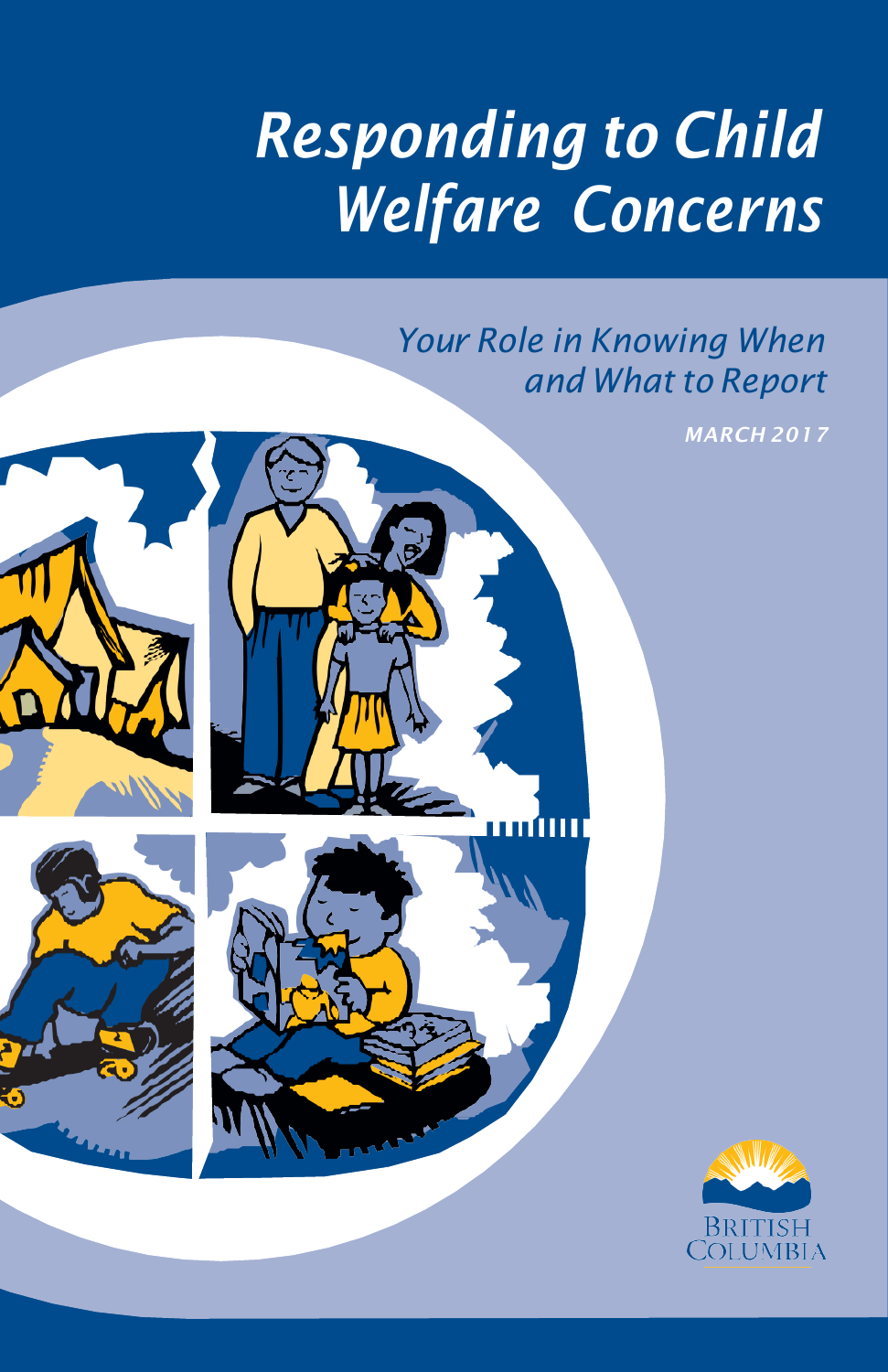# *Responding to Child Welfare Concerns*

# *Your Role in Knowing When and What to Report*

*MARCH 2017*



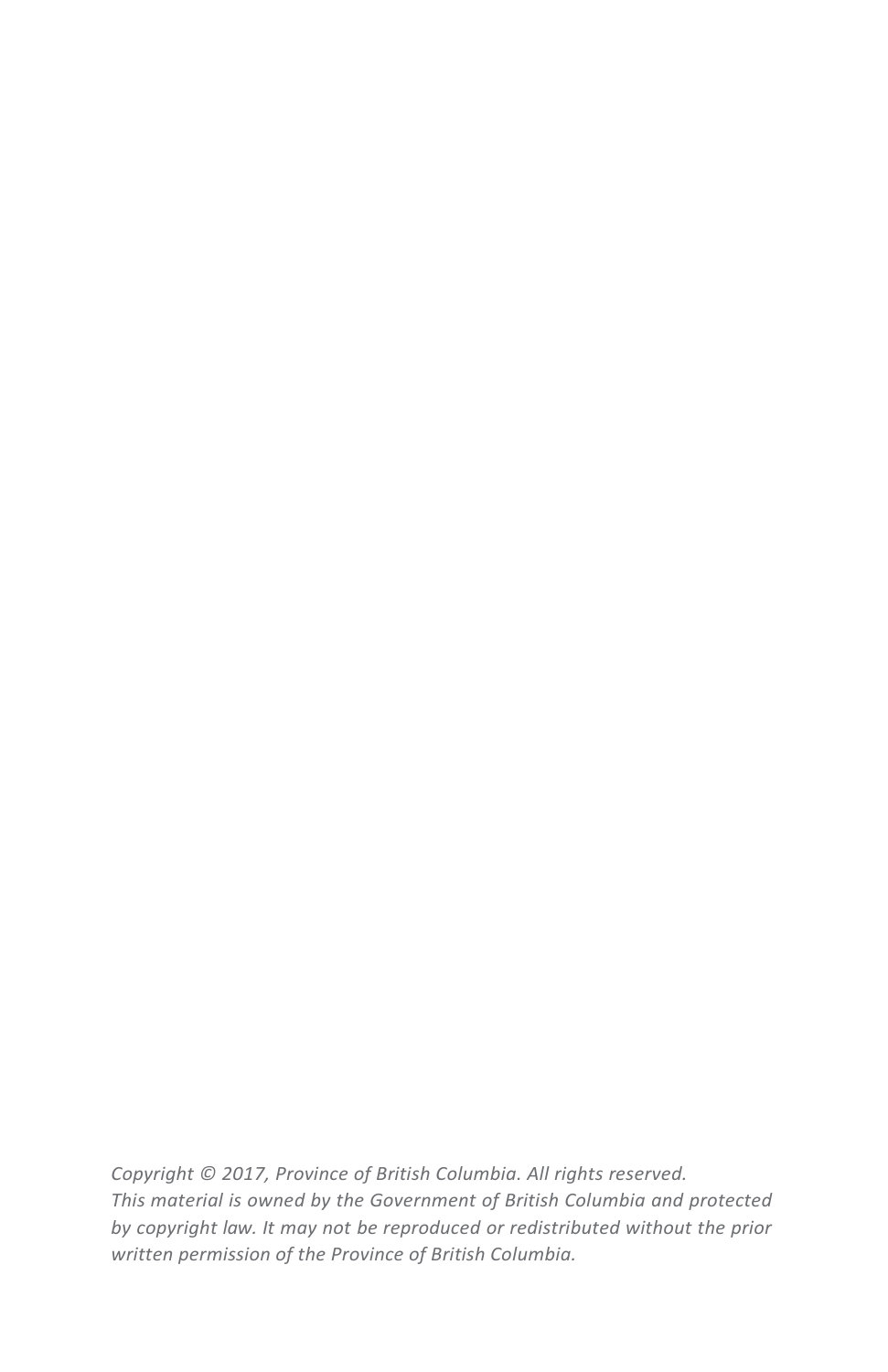*Copyright © 2017, Province of British Columbia. All rights reserved. This material is owned by the Government of British Columbia and protected by copyright law. It may not be reproduced or redistributed without the prior written permission of the Province of British Columbia.*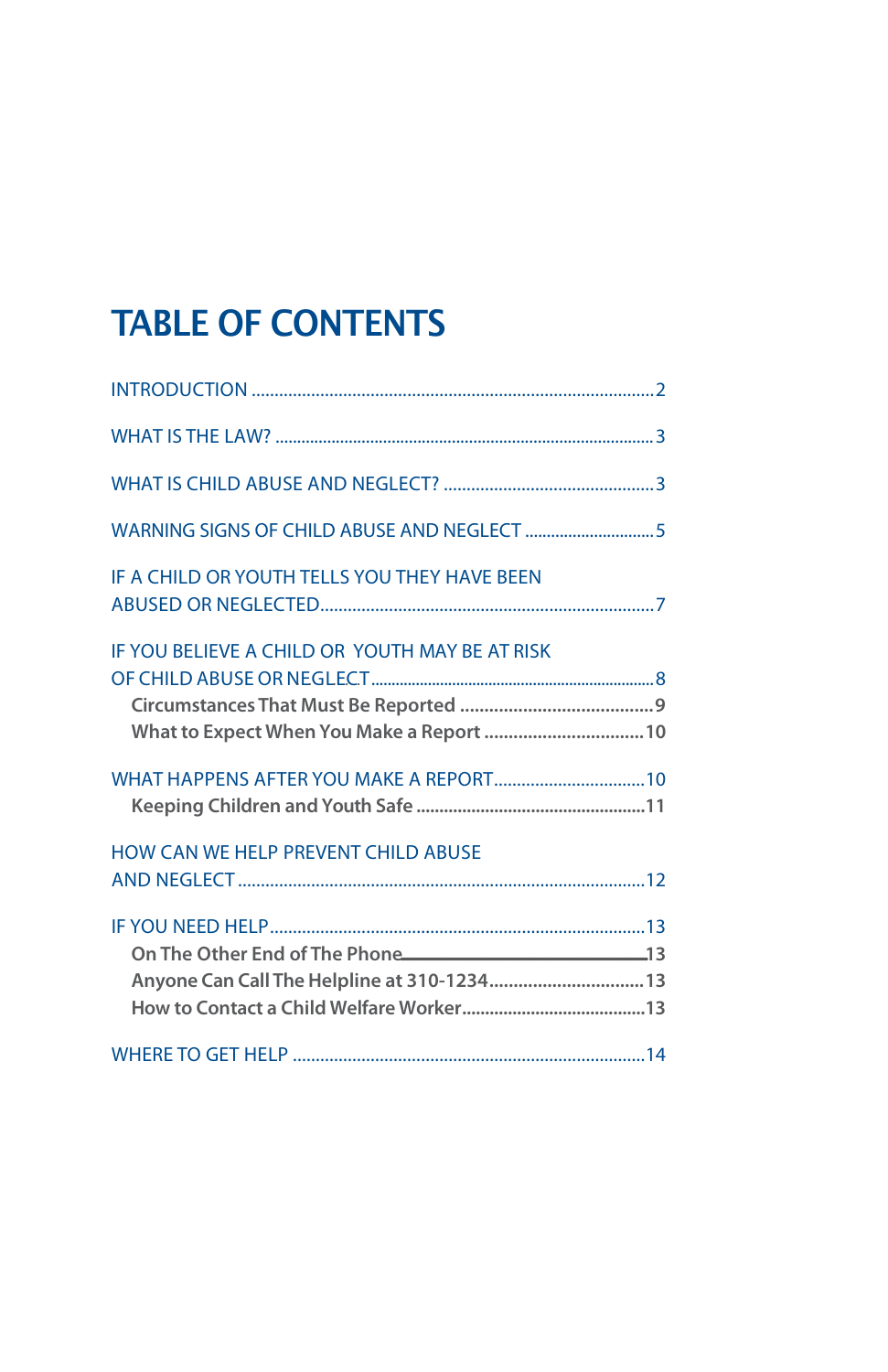# TABLE OF CONTENTS

| IF A CHILD OR YOUTH TELLS YOU THEY HAVE BEEN                                         |  |
|--------------------------------------------------------------------------------------|--|
| IF YOU BELIEVE A CHILD OR YOUTH MAY BE AT RISK                                       |  |
| What to Expect When You Make a Report  10                                            |  |
| WHAT HAPPENS AFTER YOU MAKE A REPORT 10                                              |  |
| HOW CAN WE HELP PREVENT CHILD ABUSE                                                  |  |
| On The Other End of The Phone 2000 13<br>Anyone Can Call The Helpline at 310-1234 13 |  |
|                                                                                      |  |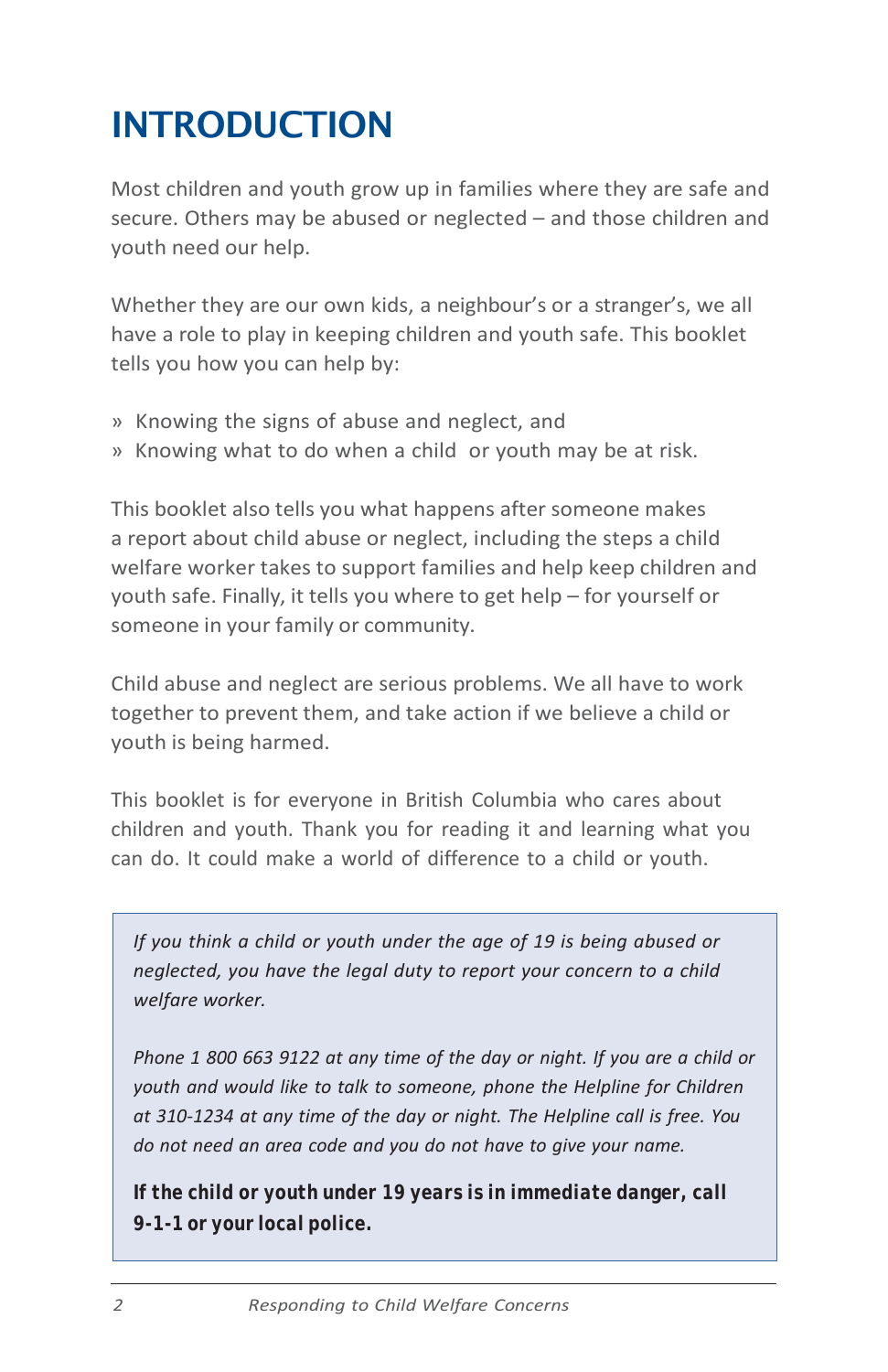# <span id="page-3-0"></span>INTRODUCTION

Most children and youth grow up in families where they are safe and secure. Others may be abused or neglected – and those children and youth need our help.

Whether they are our own kids, a neighbour's or a stranger's, we all have a role to play in keeping children and youth safe. This booklet tells you how you can help by:

- » Knowing the signs of abuse and neglect, and
- » Knowing what to do when a child or youth may be at risk.

This booklet also tells you what happens after someone makes a report about child abuse or neglect, including the steps a child welfare worker takes to support families and help keep children and youth safe. Finally, it tells you where to get help – for yourself or someone in your family or community.

Child abuse and neglect are serious problems. We all have to work together to prevent them, and take action if we believe a child or youth is being harmed.

This booklet is for everyone in British Columbia who cares about children and youth. Thank you for reading it and learning what you can do. It could make a world of difference to a child or youth.

*If you think a child or youth under the age of 19 is being abused or neglected, you have the legal duty to report your concern to a child welfare worker.*

*Phone 1 800 663 9122 at any time of the day or night. If you are a child or youth and would like to talk to someone, phone the Helpline for Children at 310-1234 at any time of the day or night. The Helpline call is free. You do not need an area code and you do not have to give your name.*

*If the child or youth under 19 years is in immediate danger, call 9-1-1 or your local police.*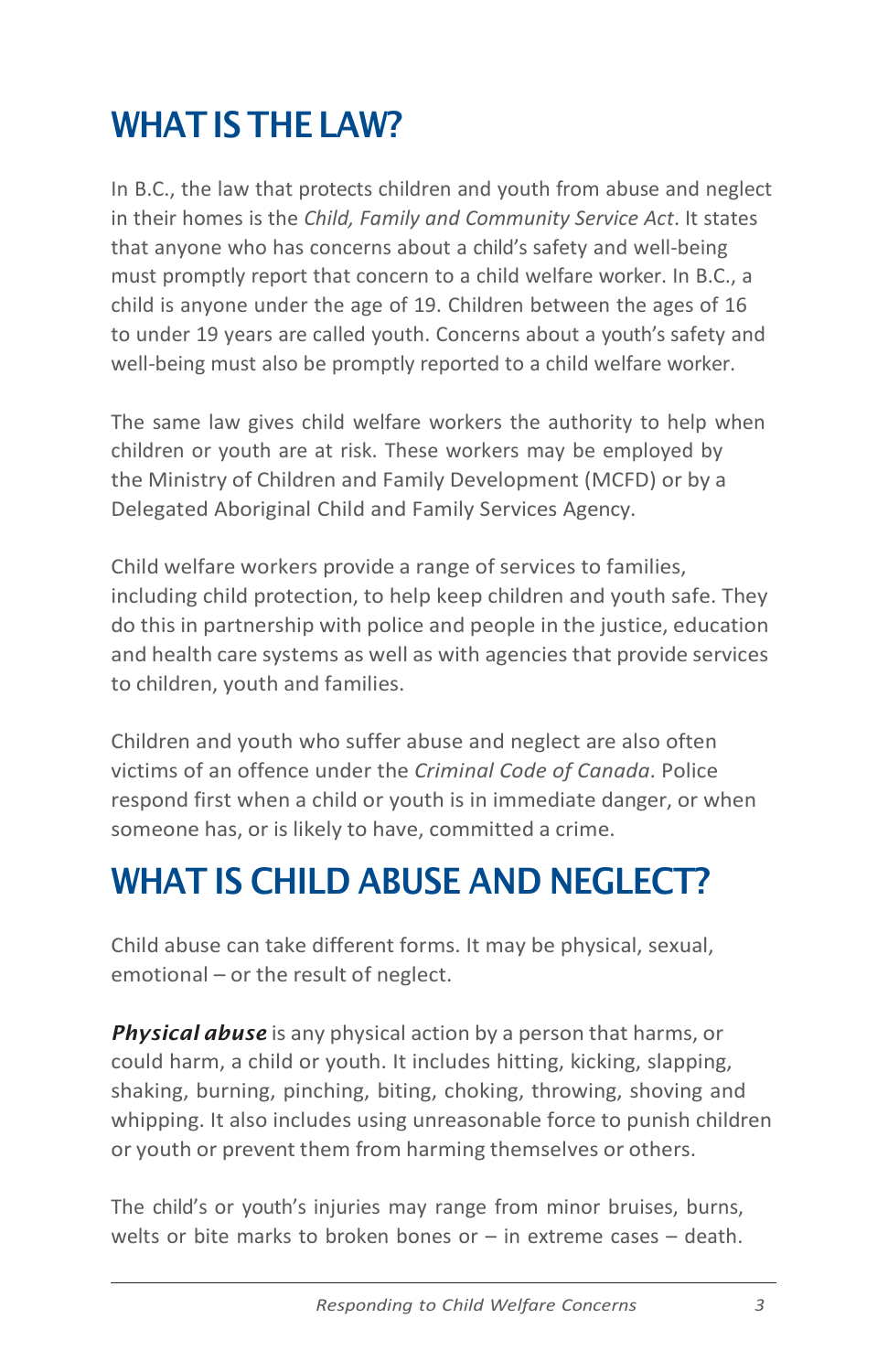# <span id="page-4-0"></span>WHAT IS THE LAW?

In B.C., the law that protects children and youth from abuse and neglect in their homes is the *Child, Family and Community Service Act*. It states that anyone who has concerns about a child's safety and well-being must promptly report that concern to a child welfare worker. In B.C., a child is anyone under the age of 19. Children between the ages of 16 to under 19 years are called youth. Concerns about a youth's safety and well-being must also be promptly reported to a child welfare worker.

The same law gives child welfare workers the authority to help when children or youth are at risk. These workers may be employed by the Ministry of Children and Family Development (MCFD) or by a Delegated Aboriginal Child and Family Services Agency.

Child welfare workers provide a range of services to families, including child protection, to help keep children and youth safe. They do this in partnership with police and people in the justice, education and health care systems as well as with agencies that provide services to children, youth and families.

Children and youth who suffer abuse and neglect are also often victims of an offence under the *Criminal Code of Canada*. Police respond first when a child or youth is in immediate danger, or when someone has, or is likely to have, committed a crime.

# <span id="page-4-1"></span>WHAT IS CHILD ABUSE AND NEGLECT?

Child abuse can take different forms. It may be physical, sexual, emotional – or the result of neglect.

*Physical abuse* is any physical action by a person that harms, or could harm, a child or youth. It includes hitting, kicking, slapping, shaking, burning, pinching, biting, choking, throwing, shoving and whipping. It also includes using unreasonable force to punish children or youth or prevent them from harming themselves or others.

The child's or youth's injuries may range from minor bruises, burns, welts or bite marks to broken bones or  $-$  in extreme cases  $-$  death.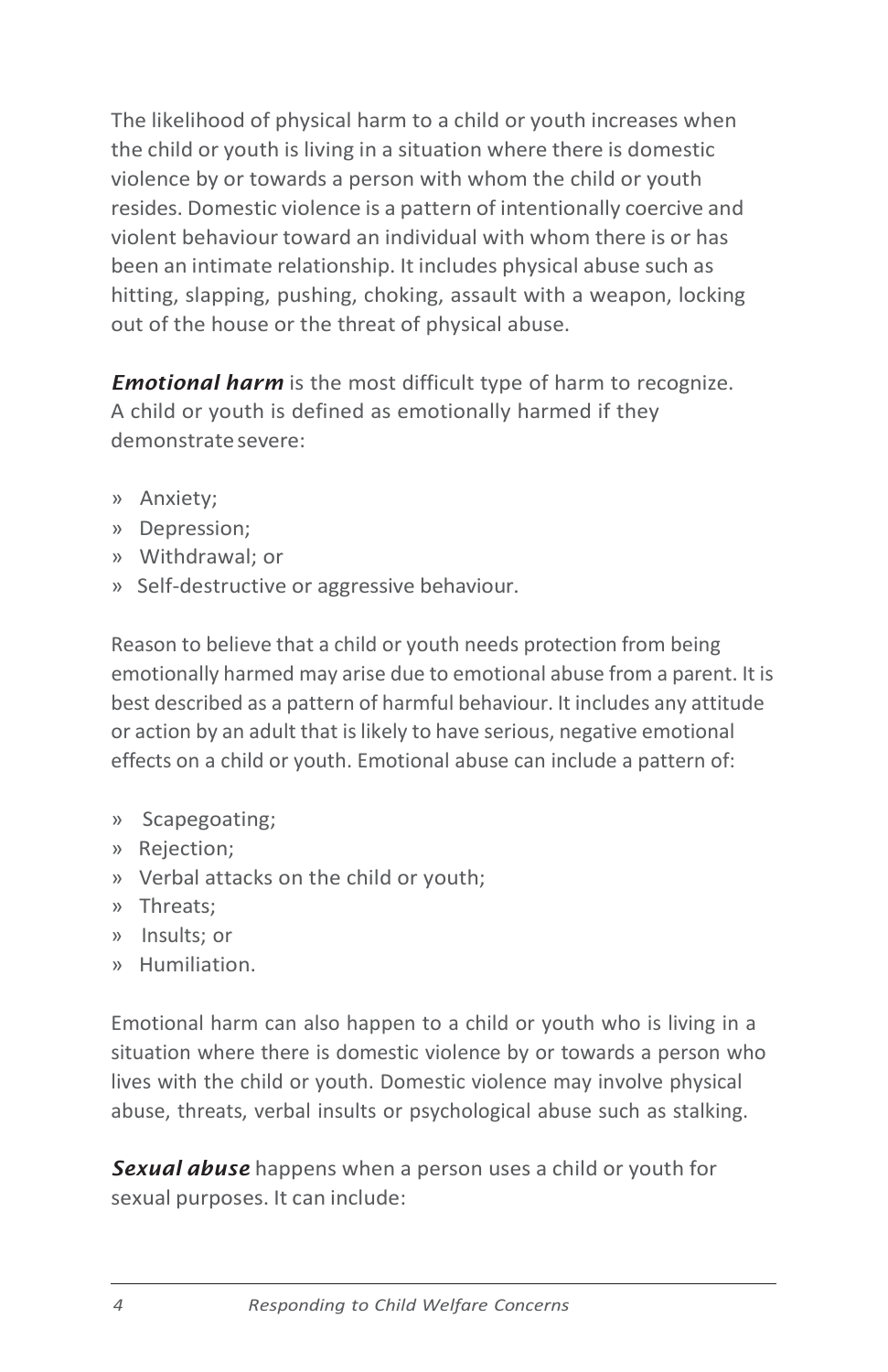The likelihood of physical harm to a child or youth increases when the child or youth is living in a situation where there is domestic violence by or towards a person with whom the child or youth resides. Domestic violence is a pattern of intentionally coercive and violent behaviour toward an individual with whom there is or has been an intimate relationship. It includes physical abuse such as hitting, slapping, pushing, choking, assault with a weapon, locking out of the house or the threat of physical abuse.

*Emotional harm* is the most difficult type of harm to recognize. A child or youth is defined as emotionally harmed if they demonstratesevere:

- » Anxiety;
- » Depression;
- » Withdrawal; or
- » Self-destructive or aggressive behaviour.

Reason to believe that a child or youth needs protection from being emotionally harmed may arise due to emotional abuse from a parent. It is best described as a pattern of harmful behaviour. It includes any attitude or action by an adult that is likely to have serious, negative emotional effects on a child or youth. Emotional abuse can include a pattern of:

- » Scapegoating;
- » Rejection;
- » Verbal attacks on the child or youth;
- » Threats;
- » Insults; or
- » Humiliation.

Emotional harm can also happen to a child or youth who is living in a situation where there is domestic violence by or towards a person who lives with the child or youth. Domestic violence may involve physical abuse, threats, verbal insults or psychological abuse such as stalking.

*Sexual abuse* happens when a person uses a child or youth for sexual purposes. It can include: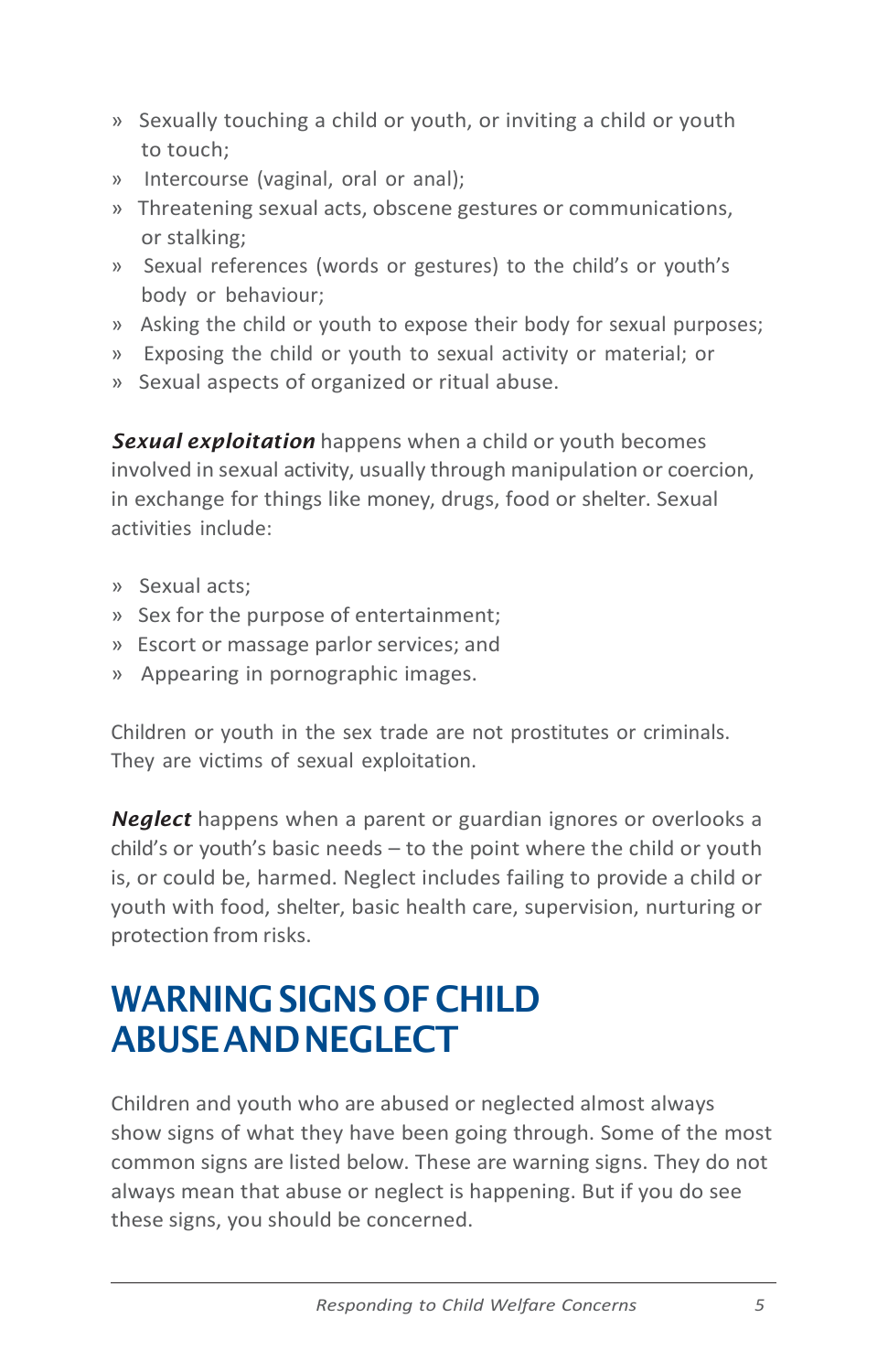- » Sexually touching a child or youth, or inviting a child or youth to touch;
- » Intercourse (vaginal, oral or anal);
- » Threatening sexual acts, obscene gestures or communications, or stalking;
- » Sexual references (words or gestures) to the child's or youth's body or behaviour;
- » Asking the child or youth to expose their body for sexual purposes;
- » Exposing the child or youth to sexual activity or material; or
- » Sexual aspects of organized or ritual abuse.

*Sexual exploitation* happens when a child or youth becomes involved in sexual activity, usually through manipulation or coercion, in exchange for things like money, drugs, food or shelter. Sexual activities include:

- » Sexual acts;
- » Sex for the purpose of entertainment;
- » Escort or massage parlor services; and
- » Appearing in pornographic images.

Children or youth in the sex trade are not prostitutes or criminals. They are victims of sexual exploitation.

*Neglect* happens when a parent or guardian ignores or overlooks a child's or youth's basic needs – to the point where the child or youth is, or could be, harmed. Neglect includes failing to provide a child or youth with food, shelter, basic health care, supervision, nurturing or protection from risks.

# <span id="page-6-0"></span>WARNING SIGNS OF CHILD ABUSEANDNEGLECT

Children and youth who are abused or neglected almost always show signs of what they have been going through. Some of the most common signs are listed below. These are warning signs. They do not always mean that abuse or neglect is happening. But if you do see these signs, you should be concerned.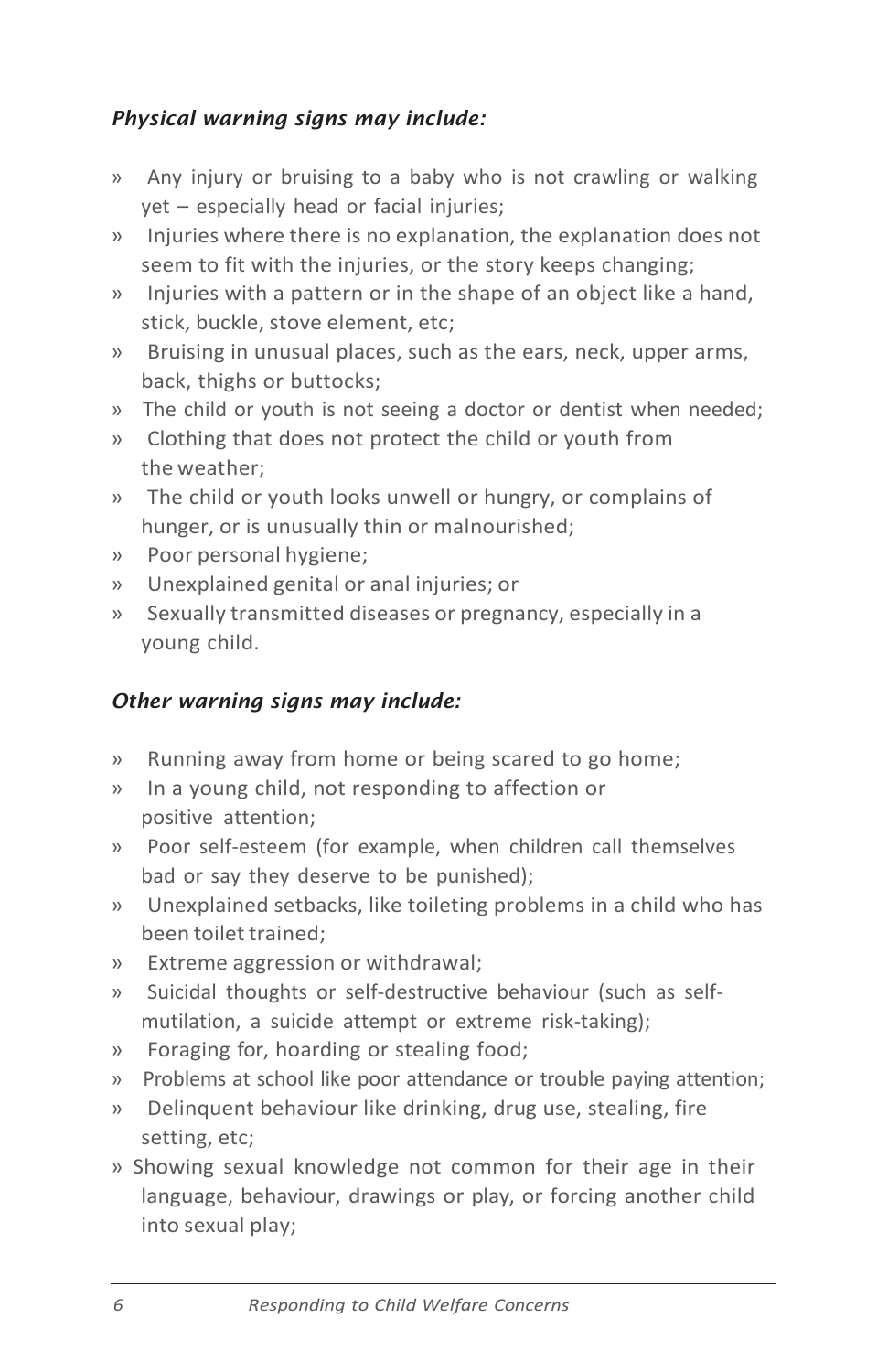### *Physical warning signs may include:*

- » Any injury or bruising to a baby who is not crawling or walking yet – especially head or facial injuries;
- » Injuries where there is no explanation, the explanation does not seem to fit with the injuries, or the story keeps changing;
- » Injuries with a pattern or in the shape of an object like a hand, stick, buckle, stove element, etc;
- » Bruising in unusual places, such as the ears, neck, upper arms, back, thighs or buttocks;
- » The child or youth is not seeing a doctor or dentist when needed;
- » Clothing that does not protect the child or youth from the weather;
- » The child or youth looks unwell or hungry, or complains of hunger, or is unusually thin or malnourished;
- » Poor personal hygiene;
- » Unexplained genital or anal injuries; or
- » Sexually transmitted diseases or pregnancy, especially in a young child.

#### *Other warning signs may include:*

- » Running away from home or being scared to go home;
- » In a young child, not responding to affection or positive attention;
- » Poor self-esteem (for example, when children call themselves bad or say they deserve to be punished);
- » Unexplained setbacks, like toileting problems in a child who has been toilet trained;
- » Extreme aggression or withdrawal;
- » Suicidal thoughts or self-destructive behaviour (such as selfmutilation, a suicide attempt or extreme risk-taking);
- » Foraging for, hoarding or stealing food;
- » Problems at school like poor attendance or trouble paying attention;
- » Delinquent behaviour like drinking, drug use, stealing, fire setting, etc;
- » Showing sexual knowledge not common for their age in their language, behaviour, drawings or play, or forcing another child into sexual play;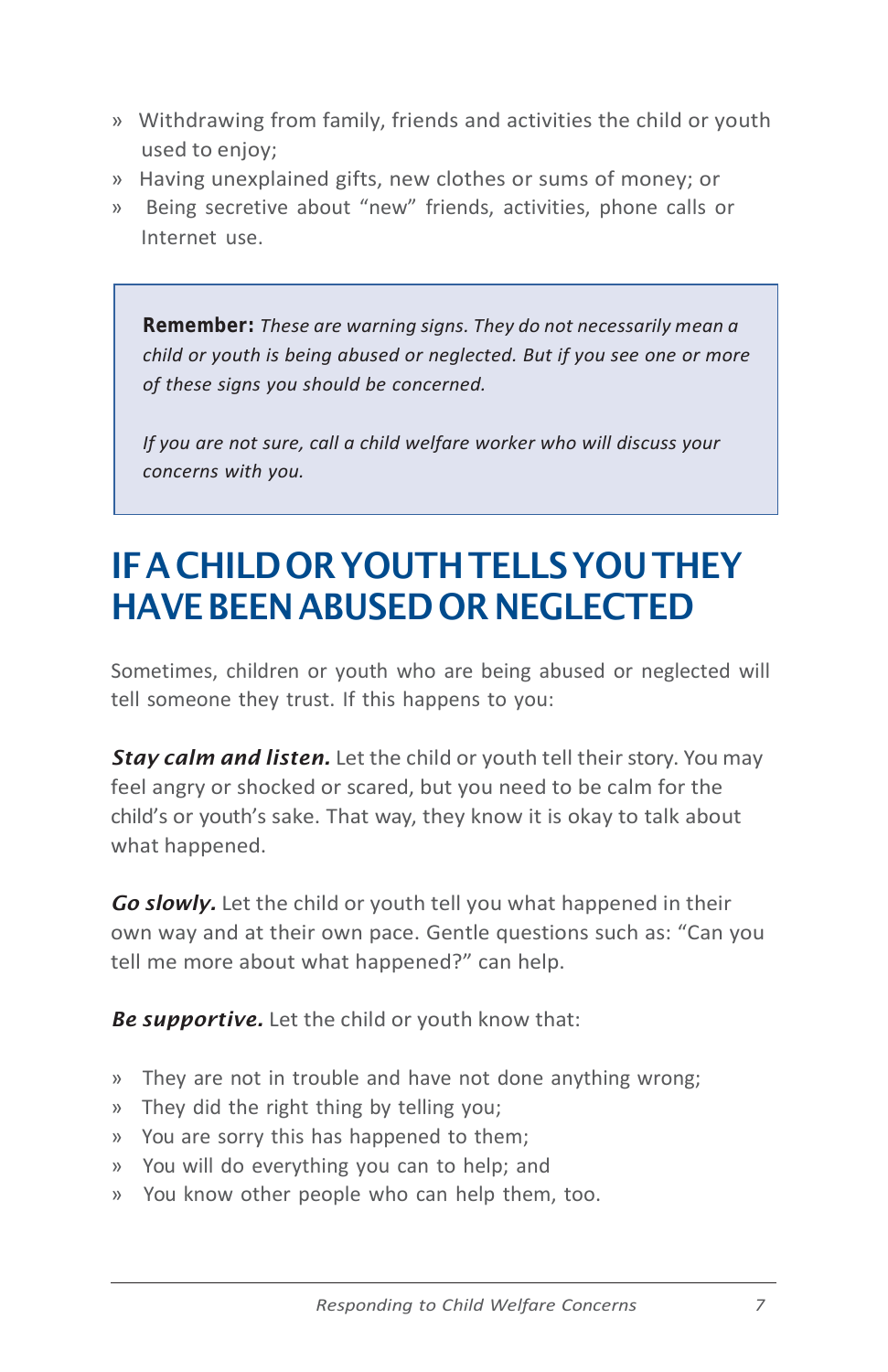- » Withdrawing from family, friends and activities the child or youth used to enjoy;
- » Having unexplained gifts, new clothes or sums of money; or
- » Being secretive about "new" friends, activities, phone calls or Internet use.

*Remember: These are warning signs. They do not necessarily mean a child or youth is being abused or neglected. But if you see one or more of these signs you should be concerned.*

*If you are not sure, call a child welfare worker who will discuss your concerns with you.*

# IFACHILDORYOUTHTELLSYOUTHEY HAVE BEEN ABUSED OR NEGLECTED

Sometimes, children or youth who are being abused or neglected will tell someone they trust. If this happens to you:

*Stay calm and listen.* Let the child or youth tell their story. You may feel angry or shocked or scared, but you need to be calm for the child's or youth's sake. That way, they know it is okay to talk about what happened.

*Go slowly.* Let the child or youth tell you what happened in their own way and at their own pace. Gentle questions such as: "Can you tell me more about what happened?" can help.

*Be supportive.* Let the child or youth know that:

- » They are not in trouble and have not done anything wrong;
- » They did the right thing by telling you;
- » You are sorry this has happened to them;
- » You will do everything you can to help; and
- » You know other people who can help them, too.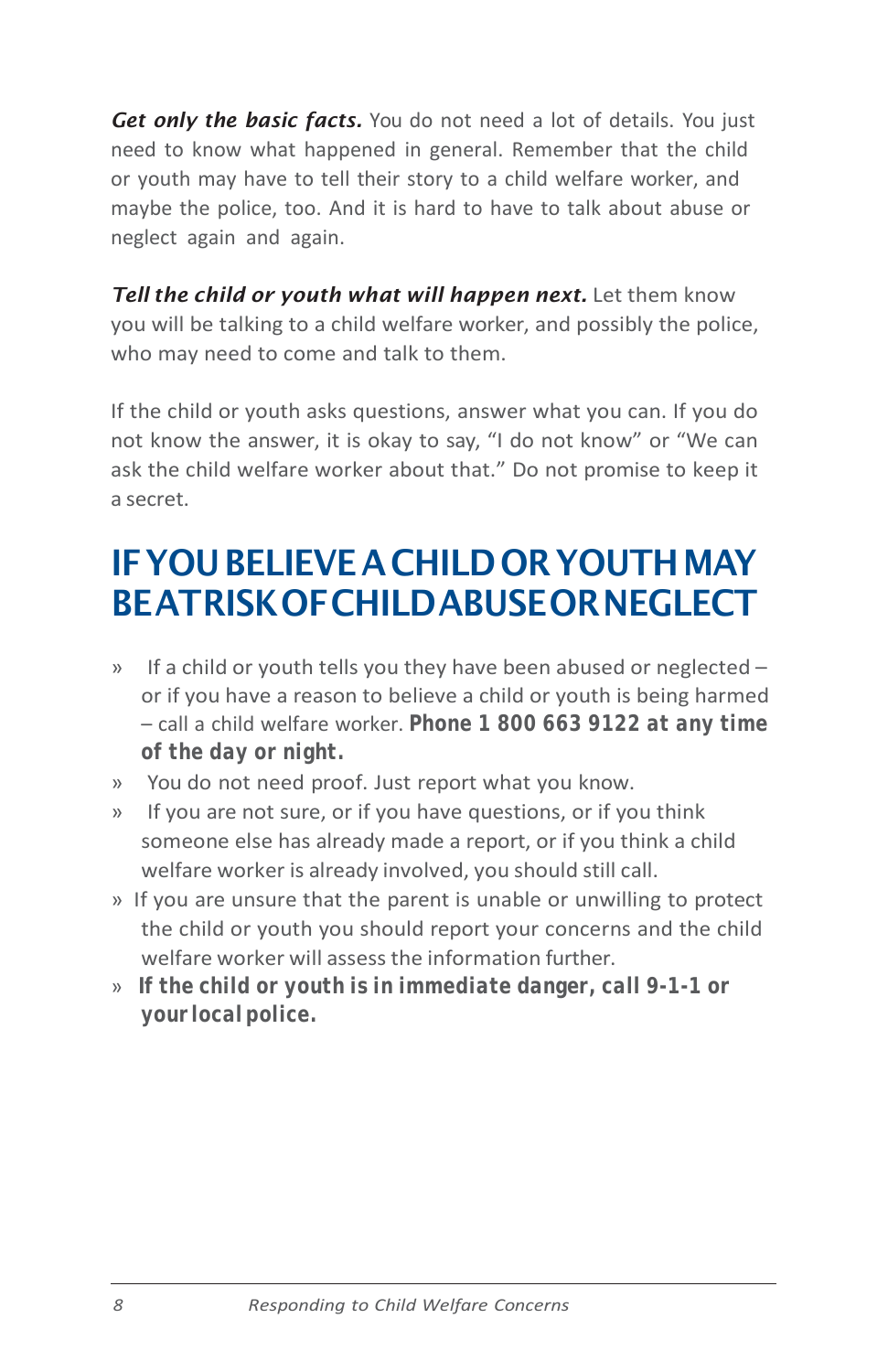*Get only the basic facts.* You do not need a lot of details. You just need to know what happened in general. Remember that the child or youth may have to tell their story to a child welfare worker, and maybe the police, too. And it is hard to have to talk about abuse or neglect again and again.

*Tell the child or youth what will happen next.* Let them know you will be talking to a child welfare worker, and possibly the police, who may need to come and talk to them.

If the child or youth asks questions, answer what you can. If you do not know the answer, it is okay to say, "I do not know" or "We can ask the child welfare worker about that." Do not promise to keep it a secret.

# IFYOUBELIEVEACHILDORYOUTHMAY BEATRISKOFCHILDABUSEORNEGLECT

- » If a child or youth tells you they have been abused or neglected or if you have a reason to believe a child or youth is being harmed – call a child welfare worker. *Phone 1 800 663 9122 at any time of the day or night.*
- » You do not need proof. Just report what you know.
- » If you are not sure, or if you have questions, or if you think someone else has already made a report, or if you think a child welfare worker is already involved, you should still call.
- » If you are unsure that the parent is unable or unwilling to protect the child or youth you should report your concerns and the child welfare worker will assess the information further.
- » *If the child or youth is in immediate danger, call 9-1-1 or your localpolice.*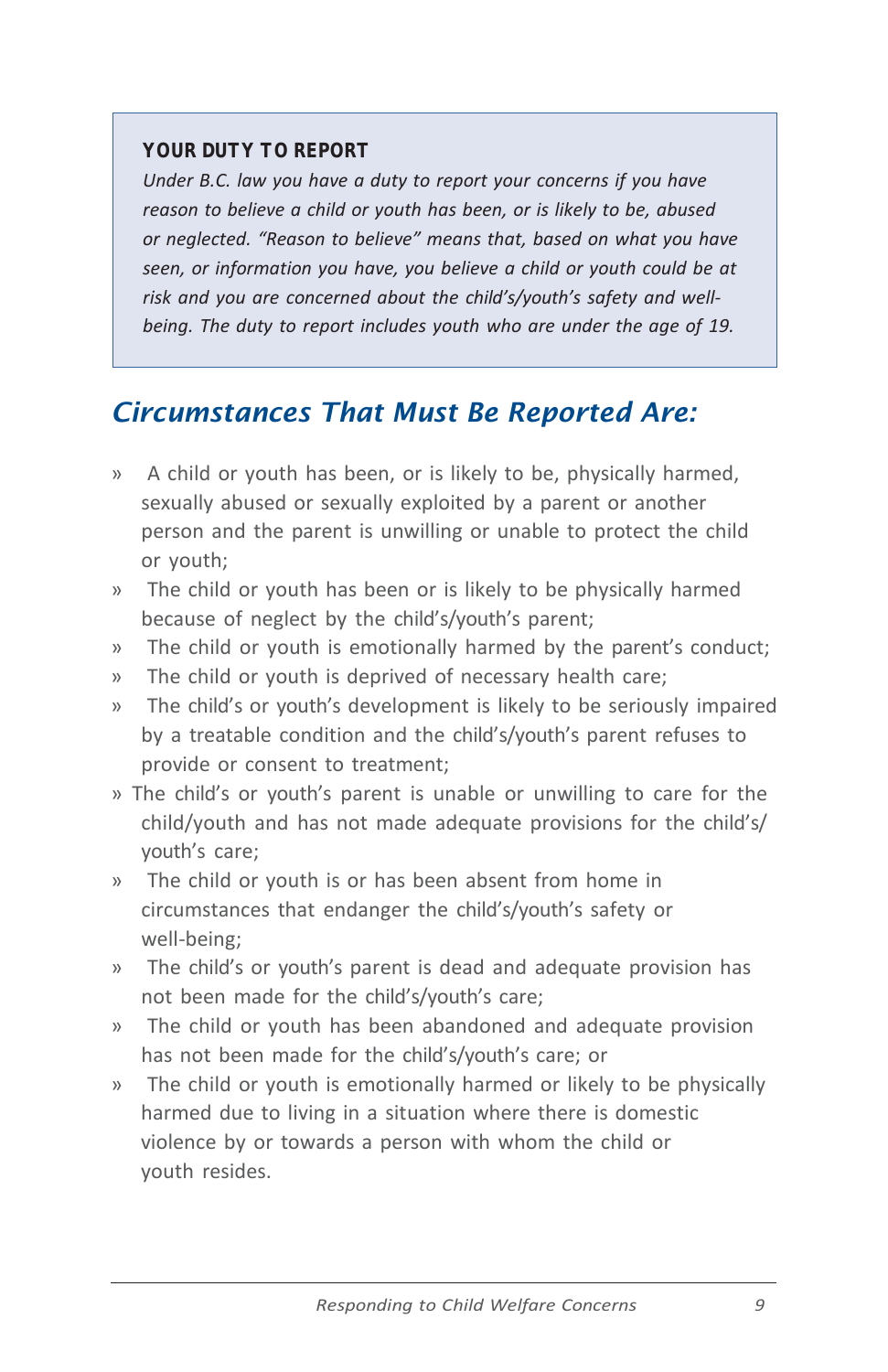#### *YOUR DUTY TO REPORT*

*Under B.C. law you have a duty to report your concerns if you have reason to believe a child or youth has been, or is likely to be, abused or neglected. "Reason to believe" means that, based on what you have seen, or information you have, you believe a child or youth could be at risk and you are concerned about the child's/youth's safety and wellbeing. The duty to report includes youth who are under the age of 19.*

### *Circumstances That Must Be Reported Are:*

- » A child or youth has been, or is likely to be, physically harmed, sexually abused or sexually exploited by a parent or another person and the parent is unwilling or unable to protect the child or youth;
- » The child or youth has been or is likely to be physically harmed because of neglect by the child's/youth's parent;
- » The child or youth is emotionally harmed by the parent's conduct;
- » The child or youth is deprived of necessary health care;
- » The child's or youth's development is likely to be seriously impaired by a treatable condition and the child's/youth's parent refuses to provide or consent to treatment;
- » The child's or youth's parent is unable or unwilling to care for the child/youth and has not made adequate provisions for the child's/ youth's care;
- » The child or youth is or has been absent from home in circumstances that endanger the child's/youth's safety or well-being;
- » The child's or youth's parent is dead and adequate provision has not been made for the child's/youth's care;
- » The child or youth has been abandoned and adequate provision has not been made for the child's/youth's care; or
- » The child or youth is emotionally harmed or likely to be physically harmed due to living in a situation where there is domestic violence by or towards a person with whom the child or youth resides.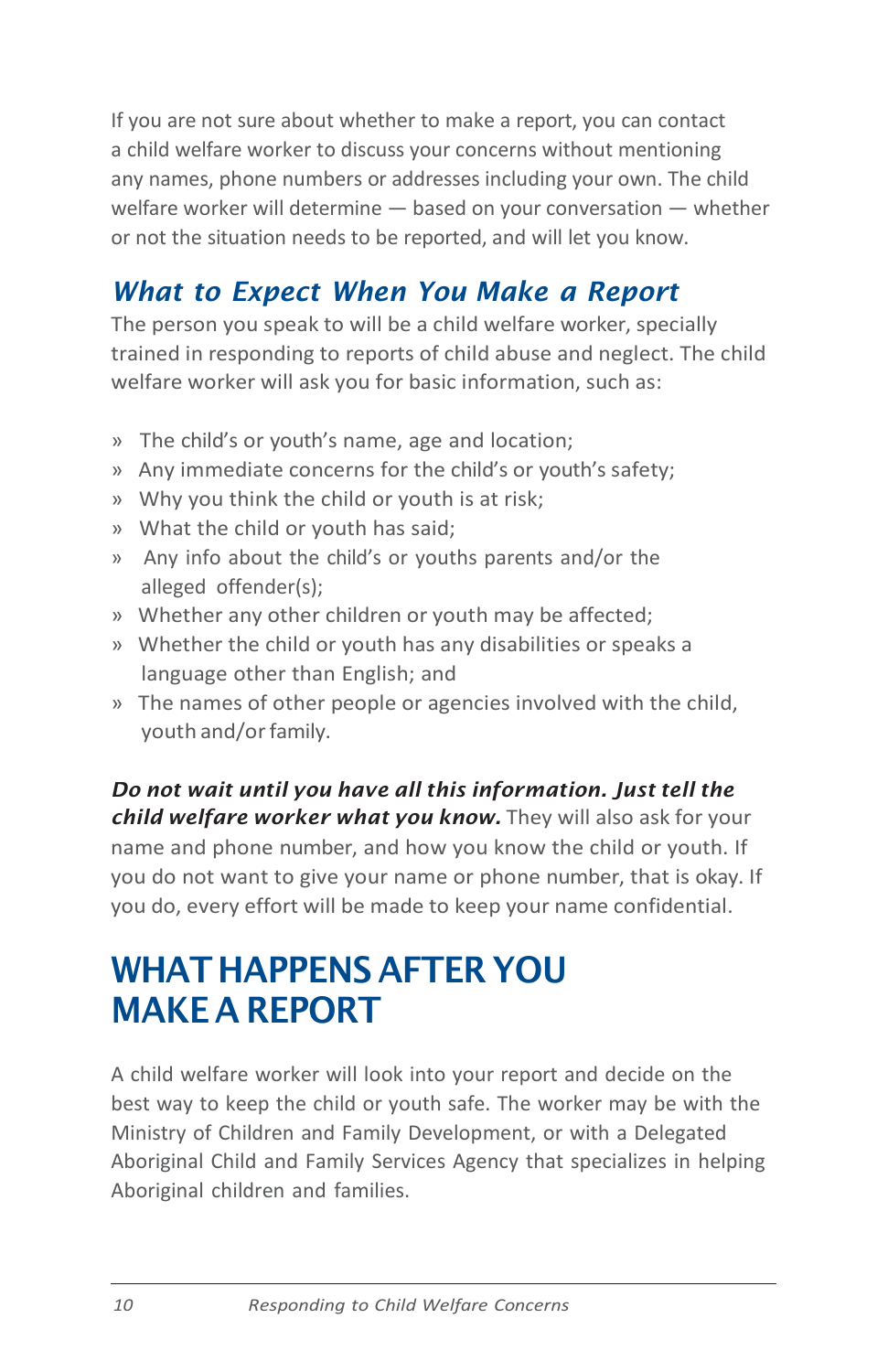If you are not sure about whether to make a report, you can contact a child welfare worker to discuss your concerns without mentioning any names, phone numbers or addresses including your own. The child welfare worker will determine — based on your conversation — whether or not the situation needs to be reported, and will let you know.

# <span id="page-11-0"></span>*What to Expect When You Make a Report*

The person you speak to will be a child welfare worker, specially trained in responding to reports of child abuse and neglect. The child welfare worker will ask you for basic information, such as:

- » The child's or youth's name, age and location;
- » Any immediate concerns for the child's or youth's safety;
- » Why you think the child or youth is at risk;
- » What the child or youth has said;
- » Any info about the child's or youths parents and/or the alleged offender(s);
- » Whether any other children or youth may be affected;
- » Whether the child or youth has any disabilities or speaks a language other than English; and
- » The names of other people or agencies involved with the child, youth and/or family.

*Do not wait until you have all this information. Just tell the child welfare worker what you know.* They will also ask for your name and phone number, and how you know the child or youth. If you do not want to give your name or phone number, that is okay. If you do, every effort will be made to keep your name confidential.

# <span id="page-11-1"></span>WHAT HAPPENS AFTER YOU MAKE A REPORT

A child welfare worker will look into your report and decide on the best way to keep the child or youth safe. The worker may be with the Ministry of Children and Family Development, or with a Delegated Aboriginal Child and Family Services Agency that specializes in helping Aboriginal children and families.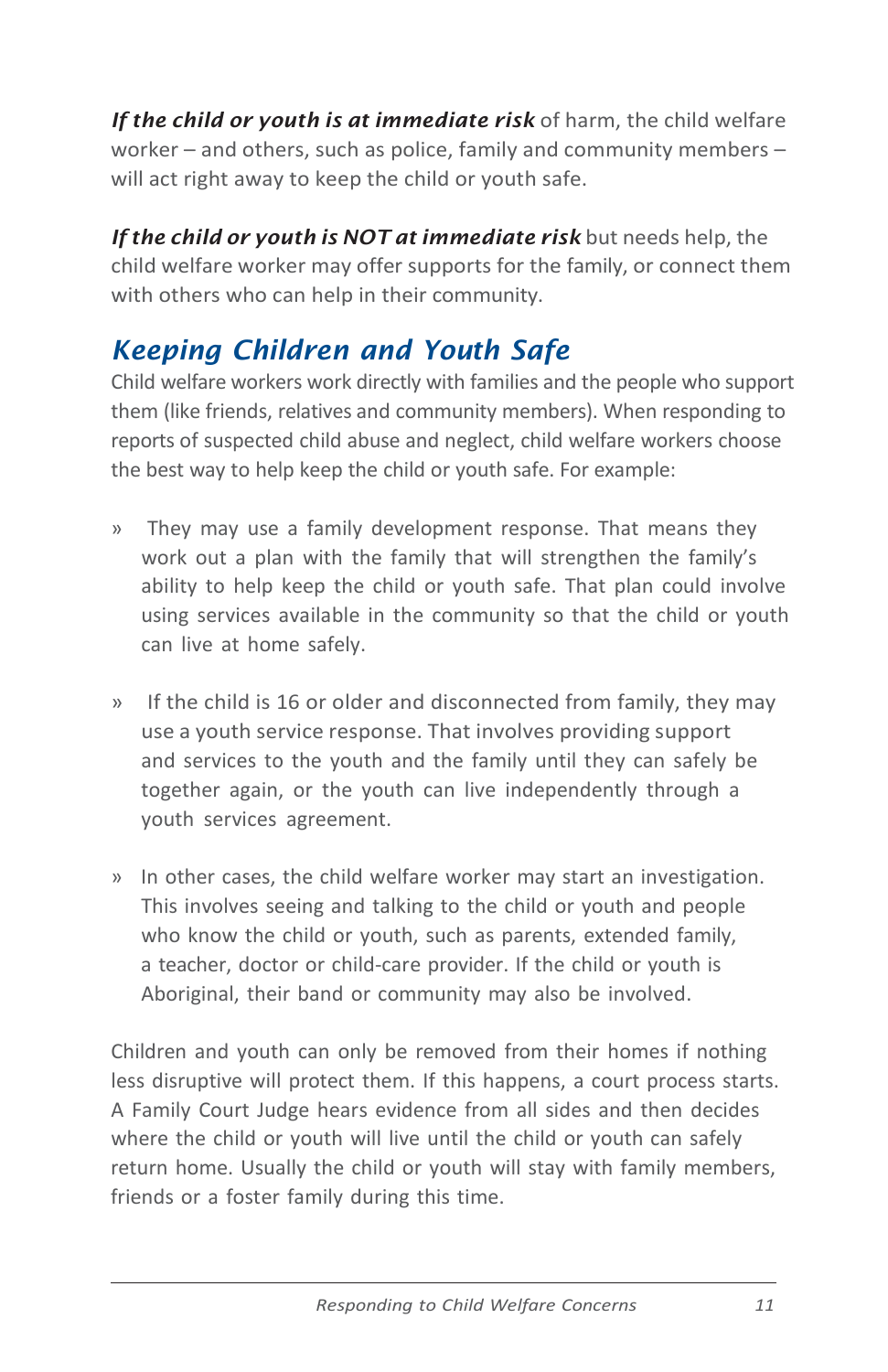*If the child or youth is at immediate risk* of harm, the child welfare worker – and others, such as police, family and community members – will act right away to keep the child or youth safe.

*If the child or youth is NOT at immediate risk* but needs help, the child welfare worker may offer supports for the family, or connect them with others who can help in their community.

# <span id="page-12-0"></span>*Keeping Children and Youth Safe*

Child welfare workers work directly with families and the people who support them (like friends, relatives and community members). When responding to reports of suspected child abuse and neglect, child welfare workers choose the best way to help keep the child or youth safe. For example:

- » They may use a family development response. That means they work out a plan with the family that will strengthen the family's ability to help keep the child or youth safe. That plan could involve using services available in the community so that the child or youth can live at home safely.
- » If the child is 16 or older and disconnected from family, they may use a youth service response. That involves providing support and services to the youth and the family until they can safely be together again, or the youth can live independently through a youth services agreement.
- » In other cases, the child welfare worker may start an investigation. This involves seeing and talking to the child or youth and people who know the child or youth, such as parents, extended family, a teacher, doctor or child-care provider. If the child or youth is Aboriginal, their band or community may also be involved.

Children and youth can only be removed from their homes if nothing less disruptive will protect them. If this happens, a court process starts. A Family Court Judge hears evidence from all sides and then decides where the child or youth will live until the child or youth can safely return home. Usually the child or youth will stay with family members, friends or a foster family during this time.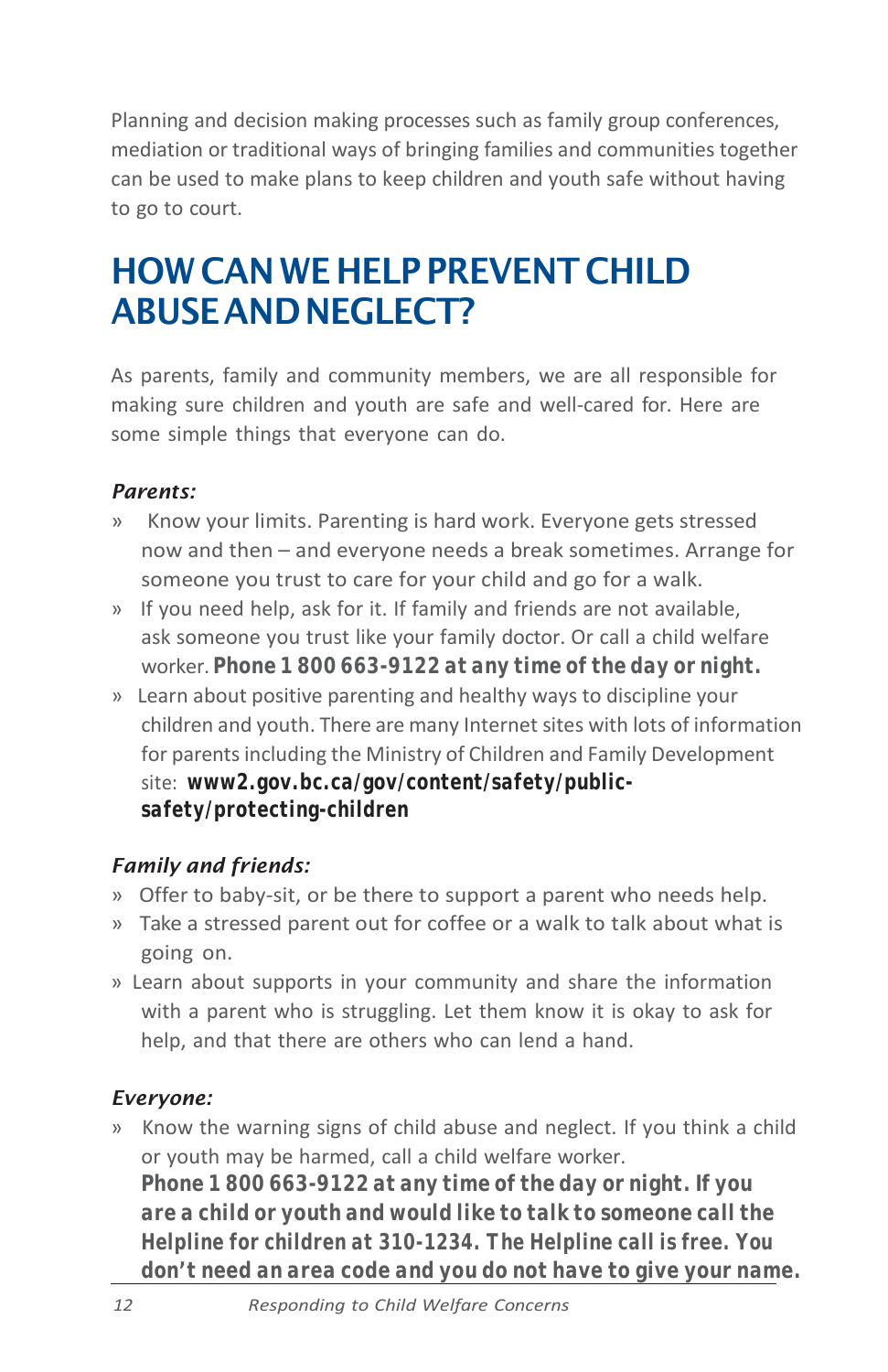Planning and decision making processes such as family group conferences, mediation or traditional ways of bringing families and communities together can be used to make plans to keep children and youth safe without having to go to court.

# HOW CANWE HELP PREVENT CHILD ABUSEANDNEGLECT?

As parents, family and community members, we are all responsible for making sure children and youth are safe and well-cared for. Here are some simple things that everyone can do.

#### *Parents:*

- » Know your limits. Parenting is hard work. Everyone gets stressed now and then – and everyone needs a break sometimes. Arrange for someone you trust to care for your child and go for a walk.
- » If you need help, ask for it. If family and friends are not available, ask someone you trust like your family doctor. Or call a child welfare worker. *Phone 1 800 663-9122 at any time of the day or night.*
- » Learn about positive parenting and healthy ways to discipline your children and youth. There are many Internet sites with lots of information for parents including the Ministry of Children and Family Development site: *[www2.gov.bc.ca/gov/content/safety/public](http://www2.gov.bc.ca/gov/content/safety/public-safety/protecting-children)[safety/protecting-children](http://www2.gov.bc.ca/gov/content/safety/public-safety/protecting-children)*

### *Family and friends:*

- » Offer to baby-sit, or be there to support a parent who needs help.
- » Take a stressed parent out for coffee or a walk to talk about what is going on.
- » Learn about supports in your community and share the information with a parent who is struggling. Let them know it is okay to ask for help, and that there are others who can lend a hand.

### *Everyone:*

» Know the warning signs of child abuse and neglect. If you think a child or youth may be harmed, call a child welfare worker. *Phone 1 800 663-9122 at any time of the day or night.If you are a child or youth and would like to talk to someone call the Helpline for children at 310-1234. The Helpline call is free. You don't need an area code and you do not have to give your name.*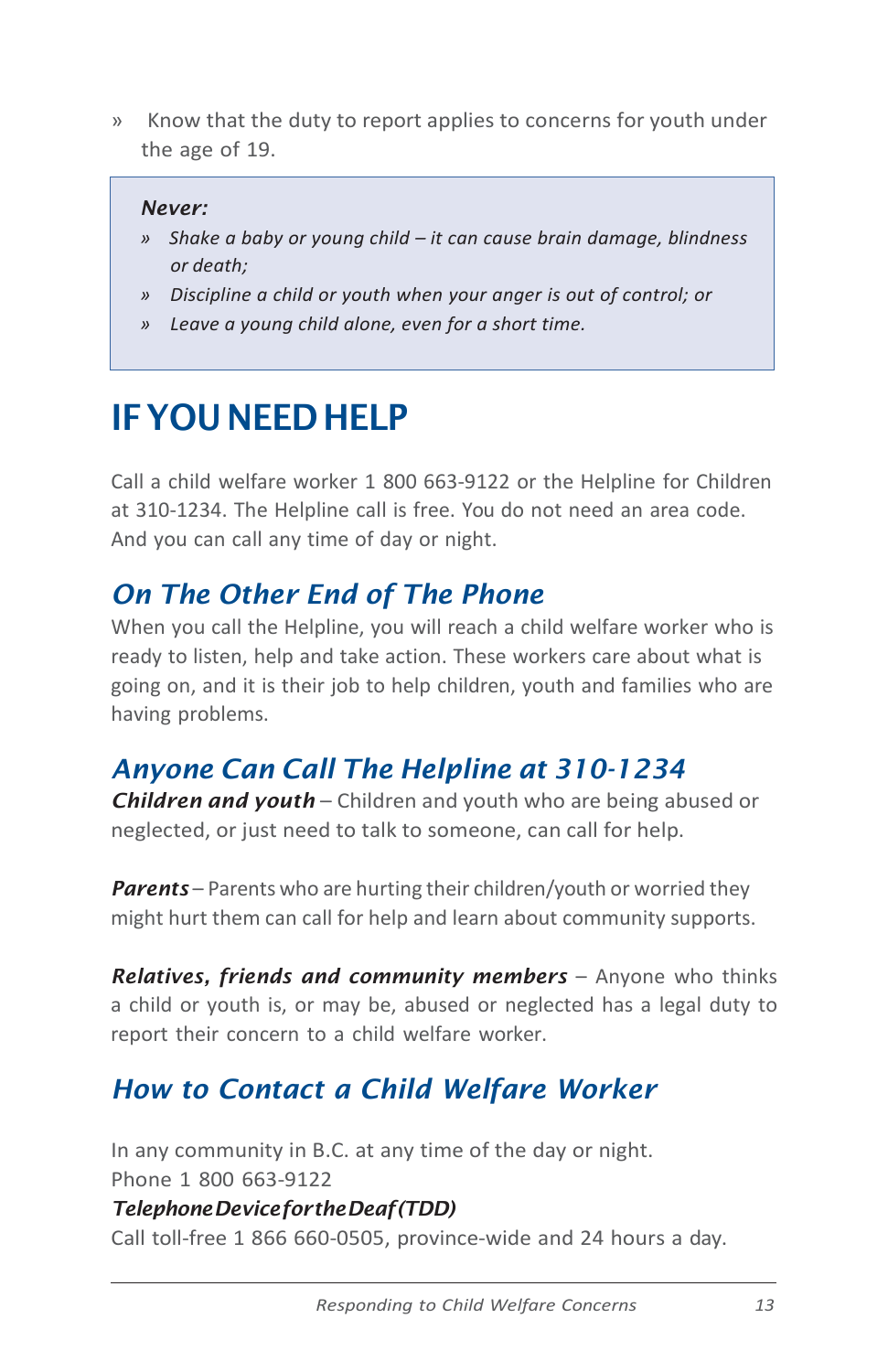» Know that the duty to report applies to concerns for youth under the age of 19.

#### *Never:*

- *» Shake a baby or young child – it can cause brain damage, blindness or death;*
- *» Discipline a child or youth when your anger is out of control; or*
- *» Leave a young child alone, even for a short time.*

# <span id="page-14-0"></span>IFYOUNEEDHELP

Call a child welfare worker 1 800 663-9122 or the Helpline for Children at 310-1234. The Helpline call is free. You do not need an area code. And you can call any time of day or night.

## <span id="page-14-1"></span>*On The Other End of The Phone*

When you call the Helpline, you will reach a child welfare worker who is ready to listen, help and take action. These workers care about what is going on, and it is their job to help children, youth and families who are having problems.

# *Anyone Can Call The Helpline at 310-1234*

*Children and youth* – Children and youth who are being abused or neglected, or just need to talk to someone, can call for help.

*Parents* – Parents who are hurting their children/youth or worried they might hurt them can call for help and learn about community supports.

*Relatives, friends and community members* – Anyone who thinks a child or youth is, or may be, abused or neglected has a legal duty to report their concern to a child welfare worker.

# <span id="page-14-2"></span>*How to Contact a Child Welfare Worker*

In any community in B.C. at any time of the day or night. Phone 1 800 663-9122

#### *TelephoneDevicefortheDeaf(TDD)*

Call toll-free 1 866 660-0505, province-wide and 24 hours a day.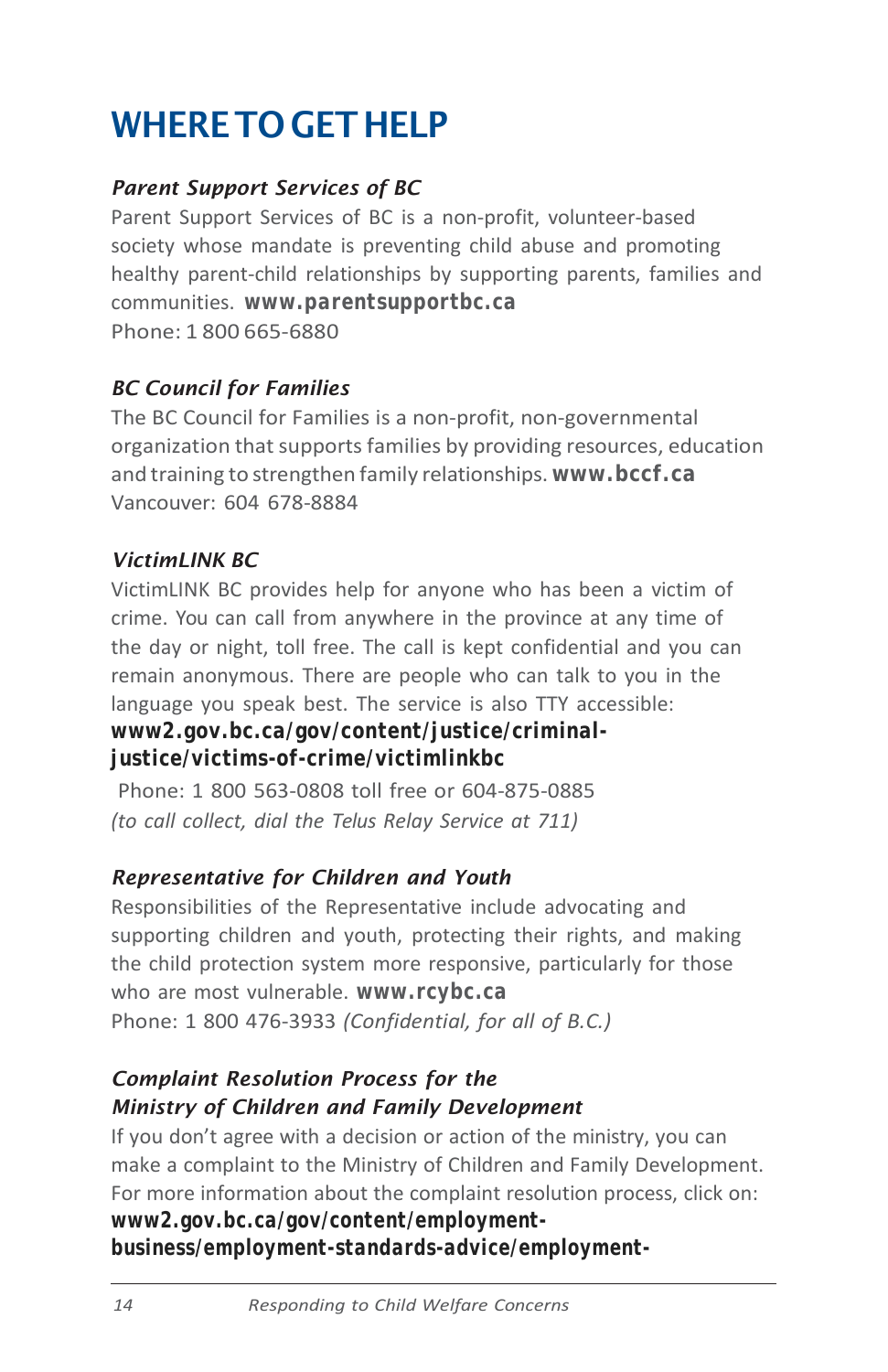# <span id="page-15-0"></span>WHERE TO GET HELP

### *Parent Support Services of BC*

Parent Support Services of BC is a non-profit, volunteer-based society whose mandate is preventing child abuse and promoting healthy parent-child relationships by supporting parents, families and communities. *[www.parentsupportbc.ca](http://www.parentsupportbc.ca/)* Phone: 1 800 665-6880

### *BC Council for Families*

The BC Council for Families is a non-profit, non-governmental organization that supports families by providing resources, education and training to strengthen family relationships. *[www.bccf.c](http://www.bccf.ca/)a* Vancouver: 604 678-8884

### *VictimLINK BC*

VictimLINK BC provides help for anyone who has been a victim of crime. You can call from anywhere in the province at any time of the day or night, toll free. The call is kept confidential and you can remain anonymous. There are people who can talk to you in the language you speak best. The service is also TTY accessible: *[www2.gov.bc.ca/gov/content/justice/criminal-](http://www2.gov.bc.ca/gov/content/justice/criminal-justice/victims-of-crime/victimlinkbc)*

### *[justice/victims-of-crime/victimlinkbc](http://www2.gov.bc.ca/gov/content/justice/criminal-justice/victims-of-crime/victimlinkbc)*

Phone: 1 800 563-0808 toll free or 604-875-0885 *(to call collect, dial the Telus Relay Service at 711)*

### *Representative for Children and Youth*

Responsibilities of the Representative include advocating and supporting children and youth, protecting their rights, and making the child protection system more responsive, particularly for those who are most vulnerable. *[www.rcybc.ca](http://www.rcybc.ca/)* Phone: 1 800 476-3933 *(Confidential, for all of B.C.)*

### *Complaint Resolution Process for the Ministry of Children and Family Development*

If you don't agree with a decision or action of the ministry, you can make a complaint to the Ministry of Children and Family Development. For more information about the complaint resolution process, click on: *[www2.gov.bc.ca/gov/content/employment](http://www2.gov.bc.ca/gov/content/employment-business/employment-standards-advice/employment-standards/complaint-process)[business/employment-standards-advice/employment-](http://www2.gov.bc.ca/gov/content/employment-business/employment-standards-advice/employment-standards/complaint-process)*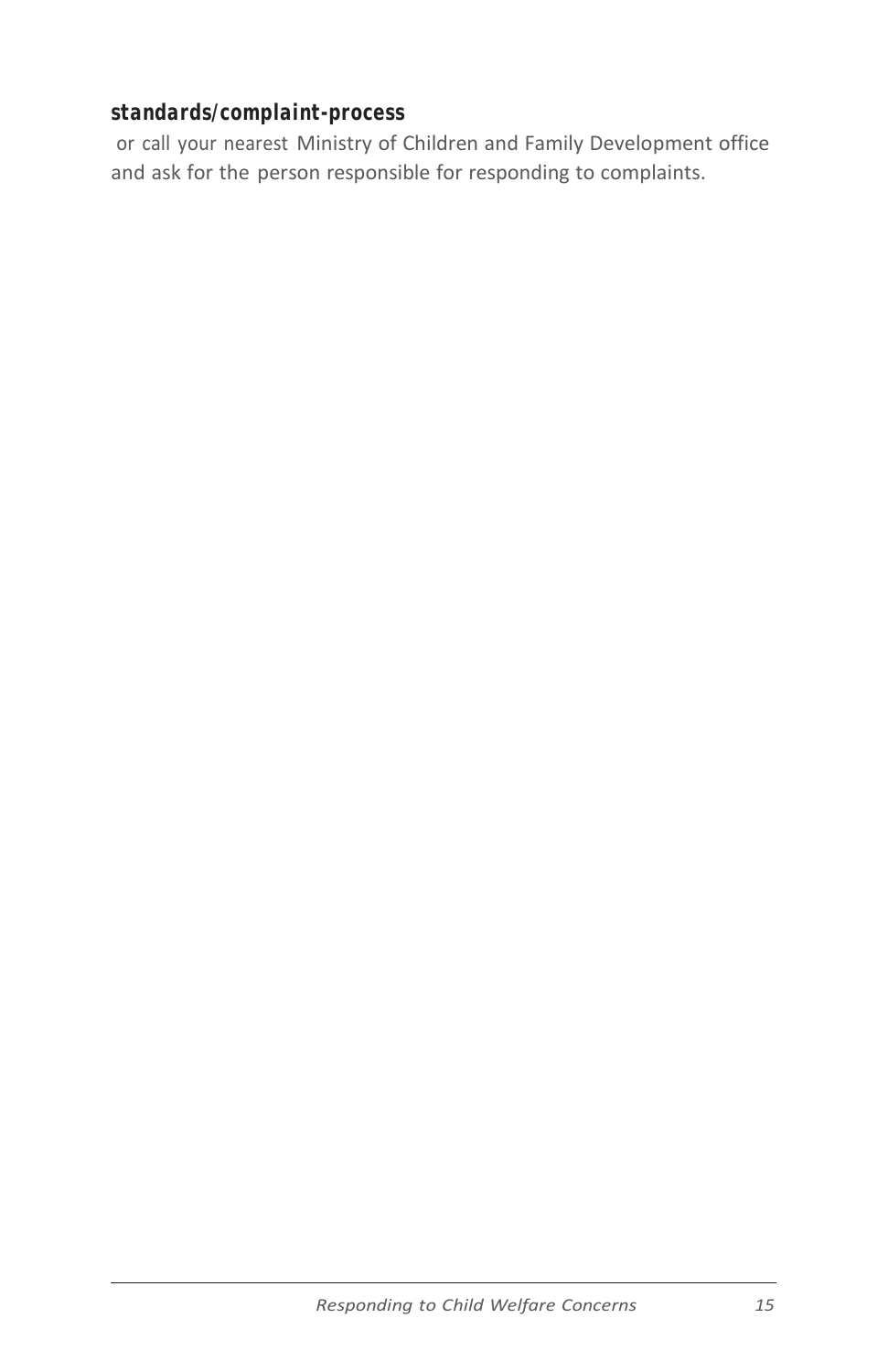### *[standards/complaint-process](http://www2.gov.bc.ca/gov/content/employment-business/employment-standards-advice/employment-standards/complaint-process)*

or call your nearest Ministry of Children and Family Development office and ask for the person responsible for responding to complaints.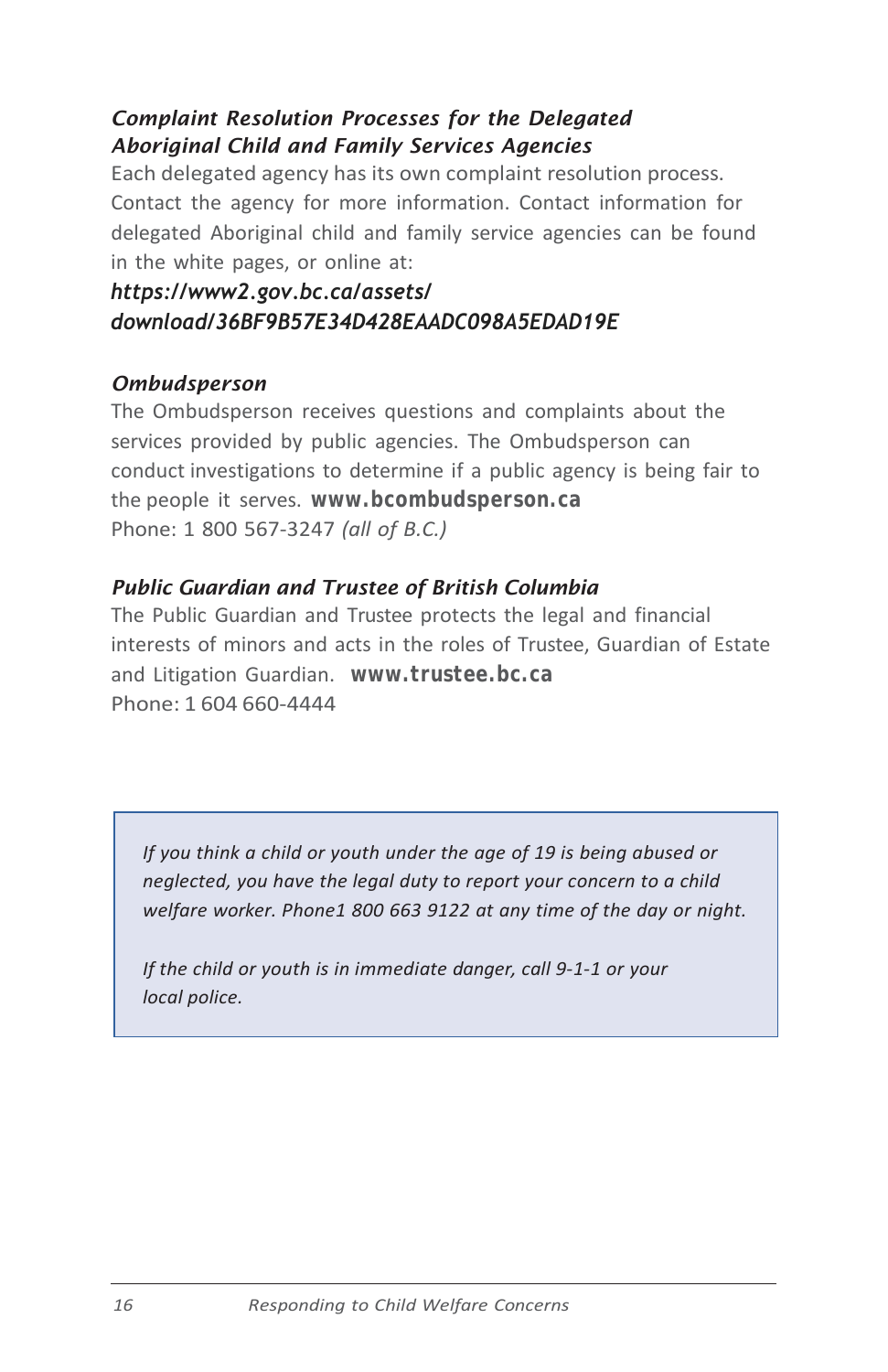### *Complaint Resolution Processes for the Delegated Aboriginal Child and Family Services Agencies*

Each delegated agency has its own complaint resolution process. Contact the agency for more information. Contact information for delegated Aboriginal child and family service agencies can be found in the white pages, or online at:

### *https://www2.gov.bc.ca/assets/ [download/36BF9B57E34D428EAADC098A5EDAD19E](http://www2.gov.bc.ca/assets/gov/family-and-social-supports/services-supports-for-parents-with-young-children/reporting-monitoring/04-accountability/04-5-deletated-child-family-service-agencies/agency-list.pdf)*

#### *[Ombudsperson](http://www2.gov.bc.ca/assets/gov/family-and-social-supports/services-supports-for-parents-with-young-children/reporting-monitoring/04-accountability/04-5-deletated-child-family-service-agencies/agency-list.pdf)*

The Ombudsperson receives questions and complaints about the services provided by public agencies. The Ombudsperson can conduct investigations to determine if a public agency is being fair to the people it serves. *www.bcombudsperson.ca* Phone: 1 800 567-3247 *(all of B.C.)*

#### *Public Guardian and Trustee of British Columbia*

The Public Guardian and Trustee protects the legal and financial interests of minors and acts in the roles of Trustee, Guardian of Estate and Litigation Guardian. *www.trustee.bc.ca* Phone: 1 604 660-4444

*If you think a child or youth under the age of 19 is being abused or neglected, you have the legal duty to report your concern to a child welfare worker. Phone1 800 663 9122 at any time of the day or night.*

*If the child or youth is in immediate danger, call 9-1-1 or your local police.*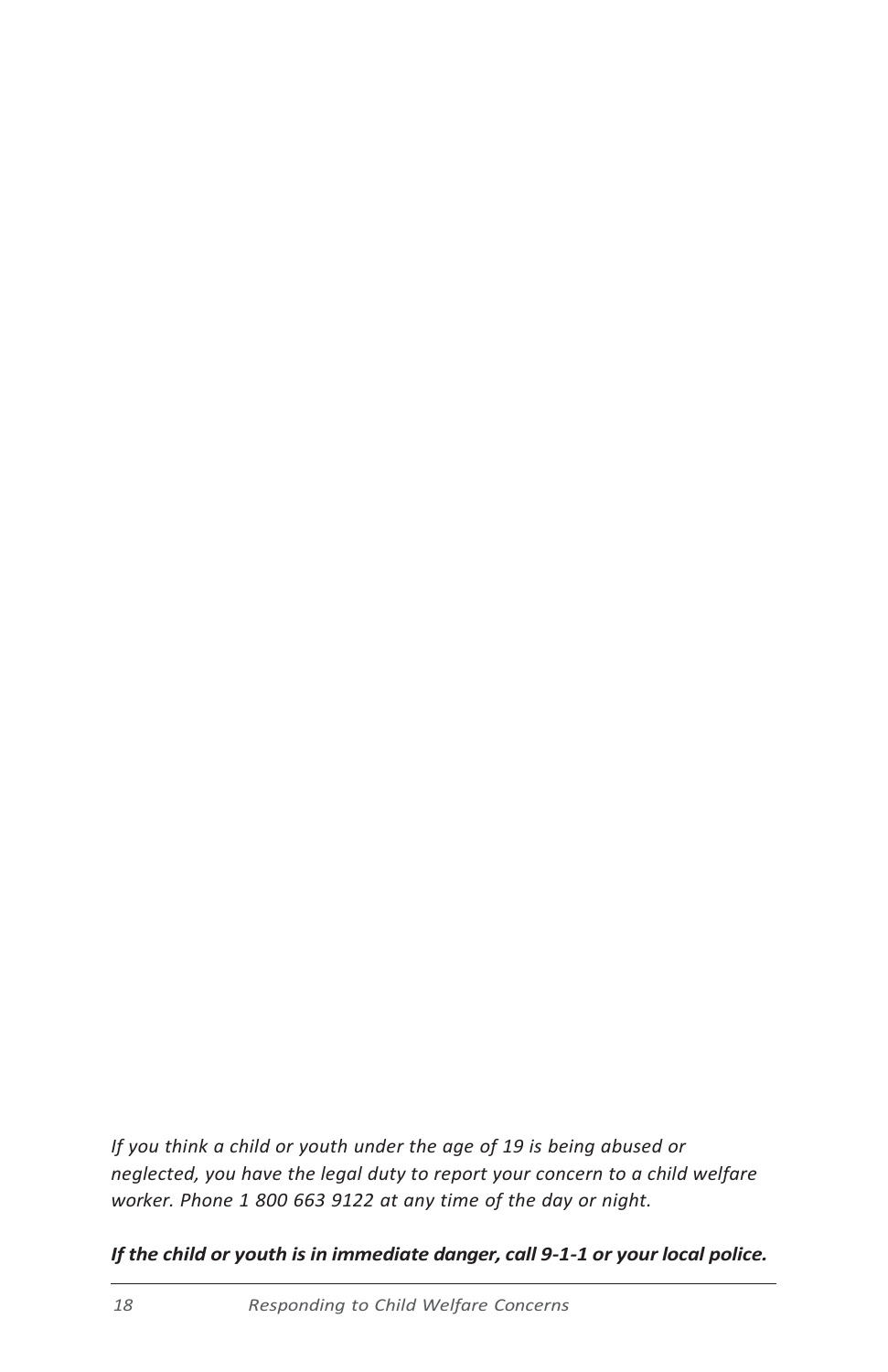*If you think a child or youth under the age of 19 is being abused or neglected, you have the legal duty to report your concern to a child welfare worker. Phone 1 800 663 9122 at any time of the day or night.*

*If the child or youth is in immediate danger, call 9-1-1 or your local police.*